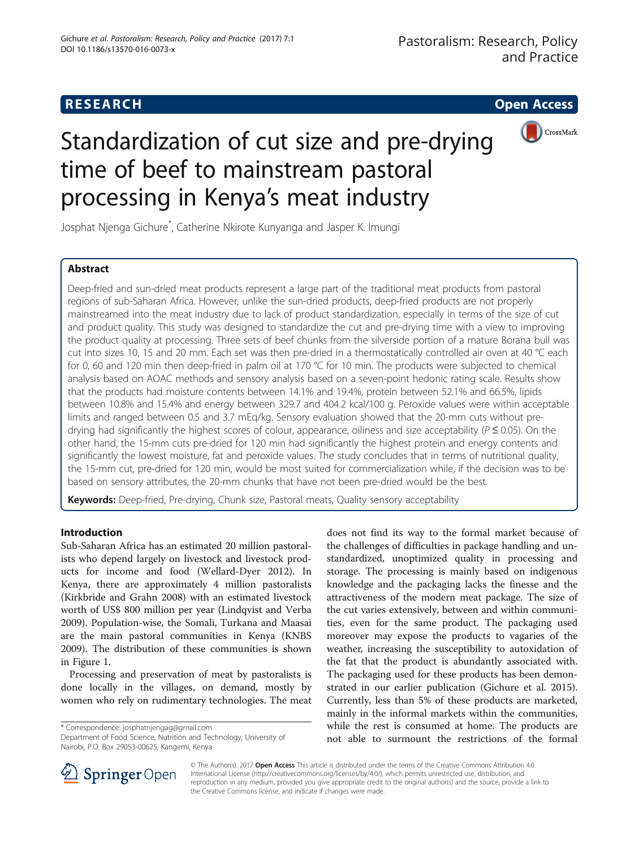# **RESEARCH CHE Open Access**



# Standardization of cut size and pre-drying time of beef to mainstream pastoral processing in Kenya's meat industry

Josphat Njenga Gichure\* , Catherine Nkirote Kunyanga and Jasper K. Imungi

# Abstract

Deep-fried and sun-dried meat products represent a large part of the traditional meat products from pastoral regions of sub-Saharan Africa. However, unlike the sun-dried products, deep-fried products are not properly mainstreamed into the meat industry due to lack of product standardization, especially in terms of the size of cut and product quality. This study was designed to standardize the cut and pre-drying time with a view to improving the product quality at processing. Three sets of beef chunks from the silverside portion of a mature Borana bull was cut into sizes 10, 15 and 20 mm. Each set was then pre-dried in a thermostatically controlled air oven at 40 °C each for 0, 60 and 120 min then deep-fried in palm oil at 170 °C for 10 min. The products were subjected to chemical analysis based on AOAC methods and sensory analysis based on a seven-point hedonic rating scale. Results show that the products had moisture contents between 14.1% and 19.4%, protein between 52.1% and 66.5%, lipids between 10.8% and 15.4% and energy between 329.7 and 404.2 kcal/100 g. Peroxide values were within acceptable limits and ranged between 0.5 and 3.7 mEq/kg. Sensory evaluation showed that the 20-mm cuts without predrying had significantly the highest scores of colour, appearance, oiliness and size acceptability ( $P \le 0.05$ ). On the other hand, the 15-mm cuts pre-dried for 120 min had significantly the highest protein and energy contents and significantly the lowest moisture, fat and peroxide values. The study concludes that in terms of nutritional quality, the 15-mm cut, pre-dried for 120 min, would be most suited for commercialization while, if the decision was to be based on sensory attributes, the 20-mm chunks that have not been pre-dried would be the best.

Keywords: Deep-fried, Pre-drying, Chunk size, Pastoral meats, Quality sensory acceptability

# Introduction

Sub-Saharan Africa has an estimated 20 million pastoralists who depend largely on livestock and livestock products for income and food (Wellard-Dyer [2012\)](#page-6-0). In Kenya, there are approximately 4 million pastoralists (Kirkbride and Grahn [2008](#page-6-0)) with an estimated livestock worth of US\$ 800 million per year (Lindqvist and Verba [2009](#page-6-0)). Population-wise, the Somali, Turkana and Maasai are the main pastoral communities in Kenya (KNBS [2009](#page-6-0)). The distribution of these communities is shown in Figure [1](#page-1-0).

Processing and preservation of meat by pastoralists is done locally in the villages, on demand, mostly by women who rely on rudimentary technologies. The meat

\* Correspondence: [josphatnjengag@gmail.com](mailto:josphatnjengag@gmail.com)

Department of Food Science, Nutrition and Technology, University of Nairobi, P.O. Box 29053-00625, Kangemi, Kenya

does not find its way to the formal market because of the challenges of difficulties in package handling and unstandardized, unoptimized quality in processing and storage. The processing is mainly based on indigenous knowledge and the packaging lacks the finesse and the attractiveness of the modern meat package. The size of the cut varies extensively, between and within communities, even for the same product. The packaging used moreover may expose the products to vagaries of the weather, increasing the susceptibility to autoxidation of the fat that the product is abundantly associated with. The packaging used for these products has been demonstrated in our earlier publication (Gichure et al. [2015](#page-6-0)). Currently, less than 5% of these products are marketed, mainly in the informal markets within the communities, while the rest is consumed at home. The products are not able to surmount the restrictions of the formal



© The Author(s). 2017 **Open Access** This article is distributed under the terms of the Creative Commons Attribution 4.0 International License ([http://creativecommons.org/licenses/by/4.0/\)](http://creativecommons.org/licenses/by/4.0/), which permits unrestricted use, distribution, and reproduction in any medium, provided you give appropriate credit to the original author(s) and the source, provide a link to the Creative Commons license, and indicate if changes were made.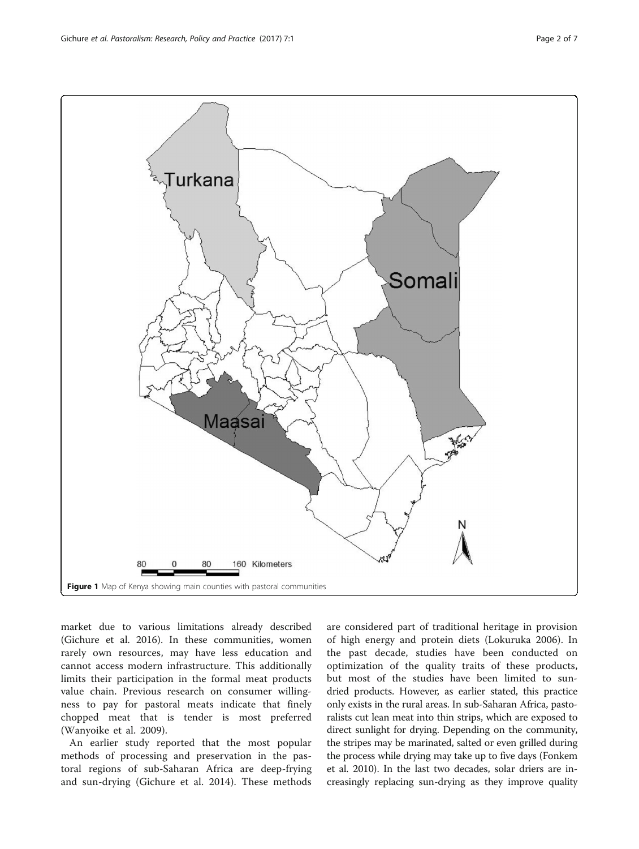<span id="page-1-0"></span>

market due to various limitations already described (Gichure et al. [2016\)](#page-6-0). In these communities, women rarely own resources, may have less education and cannot access modern infrastructure. This additionally limits their participation in the formal meat products value chain. Previous research on consumer willingness to pay for pastoral meats indicate that finely chopped meat that is tender is most preferred (Wanyoike et al. [2009\)](#page-6-0).

An earlier study reported that the most popular methods of processing and preservation in the pastoral regions of sub-Saharan Africa are deep-frying and sun-drying (Gichure et al. [2014\)](#page-6-0). These methods are considered part of traditional heritage in provision of high energy and protein diets (Lokuruka [2006\)](#page-6-0). In the past decade, studies have been conducted on optimization of the quality traits of these products, but most of the studies have been limited to sundried products. However, as earlier stated, this practice only exists in the rural areas. In sub-Saharan Africa, pastoralists cut lean meat into thin strips, which are exposed to direct sunlight for drying. Depending on the community, the stripes may be marinated, salted or even grilled during the process while drying may take up to five days (Fonkem et al. [2010](#page-6-0)). In the last two decades, solar driers are increasingly replacing sun-drying as they improve quality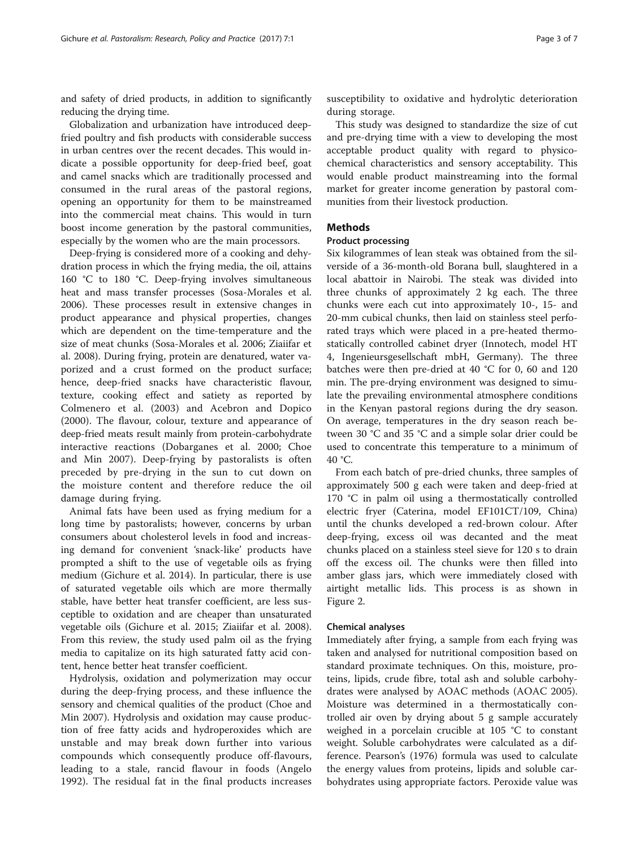and safety of dried products, in addition to significantly reducing the drying time.

Globalization and urbanization have introduced deepfried poultry and fish products with considerable success in urban centres over the recent decades. This would indicate a possible opportunity for deep-fried beef, goat and camel snacks which are traditionally processed and consumed in the rural areas of the pastoral regions, opening an opportunity for them to be mainstreamed into the commercial meat chains. This would in turn boost income generation by the pastoral communities, especially by the women who are the main processors.

Deep-frying is considered more of a cooking and dehydration process in which the frying media, the oil, attains 160 °C to 180 °C. Deep-frying involves simultaneous heat and mass transfer processes (Sosa-Morales et al. [2006](#page-6-0)). These processes result in extensive changes in product appearance and physical properties, changes which are dependent on the time-temperature and the size of meat chunks (Sosa-Morales et al. [2006](#page-6-0); Ziaiifar et al. [2008](#page-6-0)). During frying, protein are denatured, water vaporized and a crust formed on the product surface; hence, deep-fried snacks have characteristic flavour, texture, cooking effect and satiety as reported by Colmenero et al. ([2003\)](#page-6-0) and Acebron and Dopico ([2000\)](#page-6-0). The flavour, colour, texture and appearance of deep-fried meats result mainly from protein-carbohydrate interactive reactions (Dobarganes et al. [2000](#page-6-0); Choe and Min [2007](#page-6-0)). Deep-frying by pastoralists is often preceded by pre-drying in the sun to cut down on the moisture content and therefore reduce the oil damage during frying.

Animal fats have been used as frying medium for a long time by pastoralists; however, concerns by urban consumers about cholesterol levels in food and increasing demand for convenient 'snack-like' products have prompted a shift to the use of vegetable oils as frying medium (Gichure et al. [2014](#page-6-0)). In particular, there is use of saturated vegetable oils which are more thermally stable, have better heat transfer coefficient, are less susceptible to oxidation and are cheaper than unsaturated vegetable oils (Gichure et al. [2015](#page-6-0); Ziaiifar et al. [2008](#page-6-0)). From this review, the study used palm oil as the frying media to capitalize on its high saturated fatty acid content, hence better heat transfer coefficient.

Hydrolysis, oxidation and polymerization may occur during the deep-frying process, and these influence the sensory and chemical qualities of the product (Choe and Min [2007\)](#page-6-0). Hydrolysis and oxidation may cause production of free fatty acids and hydroperoxides which are unstable and may break down further into various compounds which consequently produce off-flavours, leading to a stale, rancid flavour in foods (Angelo [1992\)](#page-6-0). The residual fat in the final products increases susceptibility to oxidative and hydrolytic deterioration during storage.

This study was designed to standardize the size of cut and pre-drying time with a view to developing the most acceptable product quality with regard to physicochemical characteristics and sensory acceptability. This would enable product mainstreaming into the formal market for greater income generation by pastoral communities from their livestock production.

# **Methods**

#### Product processing

Six kilogrammes of lean steak was obtained from the silverside of a 36-month-old Borana bull, slaughtered in a local abattoir in Nairobi. The steak was divided into three chunks of approximately 2 kg each. The three chunks were each cut into approximately 10-, 15- and 20-mm cubical chunks, then laid on stainless steel perforated trays which were placed in a pre-heated thermostatically controlled cabinet dryer (Innotech, model HT 4, Ingenieursgesellschaft mbH, Germany). The three batches were then pre-dried at 40 °C for 0, 60 and 120 min. The pre-drying environment was designed to simulate the prevailing environmental atmosphere conditions in the Kenyan pastoral regions during the dry season. On average, temperatures in the dry season reach between 30 °C and 35 °C and a simple solar drier could be used to concentrate this temperature to a minimum of 40 °C.

From each batch of pre-dried chunks, three samples of approximately 500 g each were taken and deep-fried at 170 °C in palm oil using a thermostatically controlled electric fryer (Caterina, model EF101CT/109, China) until the chunks developed a red-brown colour. After deep-frying, excess oil was decanted and the meat chunks placed on a stainless steel sieve for 120 s to drain off the excess oil. The chunks were then filled into amber glass jars, which were immediately closed with airtight metallic lids. This process is as shown in Figure [2](#page-3-0).

#### Chemical analyses

Immediately after frying, a sample from each frying was taken and analysed for nutritional composition based on standard proximate techniques. On this, moisture, proteins, lipids, crude fibre, total ash and soluble carbohydrates were analysed by AOAC methods (AOAC [2005](#page-6-0)). Moisture was determined in a thermostatically controlled air oven by drying about 5 g sample accurately weighed in a porcelain crucible at 105 °C to constant weight. Soluble carbohydrates were calculated as a difference. Pearson's [\(1976\)](#page-6-0) formula was used to calculate the energy values from proteins, lipids and soluble carbohydrates using appropriate factors. Peroxide value was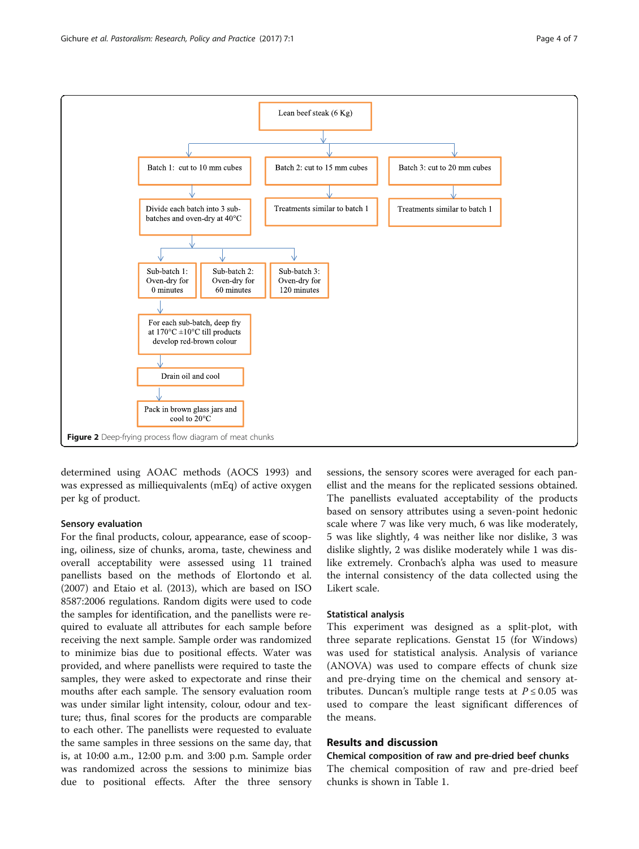<span id="page-3-0"></span>

determined using AOAC methods (AOCS [1993\)](#page-6-0) and was expressed as milliequivalents (mEq) of active oxygen per kg of product.

#### Sensory evaluation

For the final products, colour, appearance, ease of scooping, oiliness, size of chunks, aroma, taste, chewiness and overall acceptability were assessed using 11 trained panellists based on the methods of Elortondo et al. ([2007](#page-6-0)) and Etaio et al. ([2013](#page-6-0)), which are based on ISO 8587:2006 regulations. Random digits were used to code the samples for identification, and the panellists were required to evaluate all attributes for each sample before receiving the next sample. Sample order was randomized to minimize bias due to positional effects. Water was provided, and where panellists were required to taste the samples, they were asked to expectorate and rinse their mouths after each sample. The sensory evaluation room was under similar light intensity, colour, odour and texture; thus, final scores for the products are comparable to each other. The panellists were requested to evaluate the same samples in three sessions on the same day, that is, at 10:00 a.m., 12:00 p.m. and 3:00 p.m. Sample order was randomized across the sessions to minimize bias due to positional effects. After the three sensory

sessions, the sensory scores were averaged for each panellist and the means for the replicated sessions obtained. The panellists evaluated acceptability of the products based on sensory attributes using a seven-point hedonic scale where 7 was like very much, 6 was like moderately, 5 was like slightly, 4 was neither like nor dislike, 3 was dislike slightly, 2 was dislike moderately while 1 was dislike extremely. Cronbach's alpha was used to measure the internal consistency of the data collected using the Likert scale.

# Statistical analysis

This experiment was designed as a split-plot, with three separate replications. Genstat 15 (for Windows) was used for statistical analysis. Analysis of variance (ANOVA) was used to compare effects of chunk size and pre-drying time on the chemical and sensory attributes. Duncan's multiple range tests at  $P \leq 0.05$  was used to compare the least significant differences of the means.

# Results and discussion

Chemical composition of raw and pre-dried beef chunks The chemical composition of raw and pre-dried beef chunks is shown in Table [1](#page-4-0).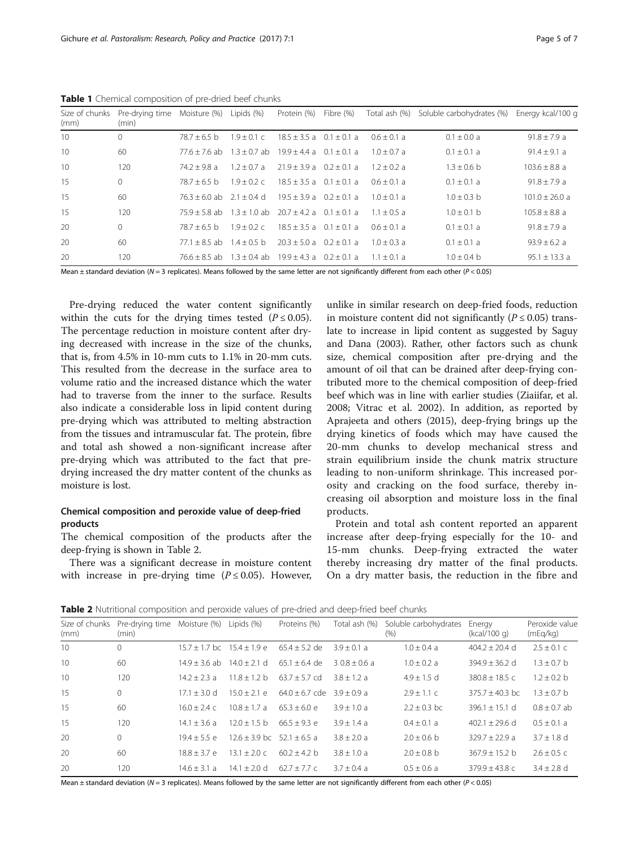| Size of chunks<br>(mm) | Pre-drying time Moisture (%)<br>(min) |                                                             | Lipids (%)      | Protein (%)                  | Fibre (%) |               | Total ash (%) Soluble carbohydrates (%) | Energy kcal/100 g |
|------------------------|---------------------------------------|-------------------------------------------------------------|-----------------|------------------------------|-----------|---------------|-----------------------------------------|-------------------|
| 10                     | $\Omega$                              | $78.7 + 6.5$ b                                              | $1.9 + 0.1c$    | $18.5 + 3.5a$ 0.1 + 0.1 a    |           | $0.6 + 0.1 a$ | $0.1 + 0.0 a$                           | $91.8 \pm 7.9 a$  |
| 10                     | 60                                    | $77.6 + 7.6$ ab                                             | $1.3 + 0.7$ ab  | $19.9 + 4.4$ a $0.1 + 0.1$ a |           | $1.0 + 0.7 a$ | $0.1 \pm 0.1$ a                         | $91.4 + 9.1 a$    |
| 10                     | 120                                   | $74.2 + 9.8$ a                                              | $1.2 + 0.7$ a   | $21.9 + 3.9a$ $0.2 + 0.1a$   |           | $1.2 + 0.2 a$ | $1.3 + 0.6 h$                           | $103.6 + 8.8$ a   |
| 15                     | $\Omega$                              | $78.7 + 6.5$ b                                              | $1.9 \pm 0.2$ c | $18.5 + 3.5a$ 0.1 + 0.1 a    |           | $0.6 + 0.1 a$ | $0.1 \pm 0.1$ a                         | $91.8 \pm 7.9 a$  |
| 15                     | 60                                    | $76.3 + 6.0$ ab $2.1 + 0.4$ d                               |                 | $19.5 + 3.9a$ 0.2 + 0.1 a    |           | $1.0 + 0.1 a$ | $1.0 + 0.3$ b                           | $101.0 + 26.0$ a  |
| 15                     | 120                                   | $75.9 + 5.8$ ab $1.3 + 1.0$ ab                              |                 | $20.7 + 4.2a$ 0.1 + 0.1 a    |           | $1.1 + 0.5$ a | $1.0 + 0.1 h$                           | $105.8 + 8.8$ a   |
| 20                     | $\Omega$                              | $78.7 + 6.5$ b                                              | $1.9 + 0.2c$    | $18.5 + 3.5a$ 0.1 + 0.1 a    |           | $0.6 + 0.1 a$ | $0.1 \pm 0.1$ a                         | $91.8 + 7.9 a$    |
| 20                     | 60                                    | $77.1 + 8.5$ ab $1.4 + 0.5$ b                               |                 | $20.3 + 5.0a$ $0.2 + 0.1a$   |           | $1.0 + 0.3$ a | $0.1 + 0.1$ a                           | $93.9 + 6.2 a$    |
| 20                     | 120                                   | $76.6 + 8.5$ ab $1.3 + 0.4$ ab $19.9 + 4.3$ a $0.2 + 0.1$ a |                 |                              |           | $1.1 + 0.1 a$ | $1.0 + 0.4 h$                           | $95.1 + 13.3$ a   |

<span id="page-4-0"></span>Table 1 Chemical composition of pre-dried beef chunks

Mean  $\pm$  standard deviation (N = 3 replicates). Means followed by the same letter are not significantly different from each other (P < 0.05)

Pre-drying reduced the water content significantly within the cuts for the drying times tested ( $P \le 0.05$ ). The percentage reduction in moisture content after drying decreased with increase in the size of the chunks, that is, from 4.5% in 10-mm cuts to 1.1% in 20-mm cuts. This resulted from the decrease in the surface area to volume ratio and the increased distance which the water had to traverse from the inner to the surface. Results also indicate a considerable loss in lipid content during pre-drying which was attributed to melting abstraction from the tissues and intramuscular fat. The protein, fibre and total ash showed a non-significant increase after pre-drying which was attributed to the fact that predrying increased the dry matter content of the chunks as moisture is lost.

# Chemical composition and peroxide value of deep-fried products

The chemical composition of the products after the deep-frying is shown in Table 2.

There was a significant decrease in moisture content with increase in pre-drying time  $(P \le 0.05)$ . However,

unlike in similar research on deep-fried foods, reduction in moisture content did not significantly ( $P \le 0.05$ ) translate to increase in lipid content as suggested by Saguy and Dana [\(2003\)](#page-6-0). Rather, other factors such as chunk size, chemical composition after pre-drying and the amount of oil that can be drained after deep-frying contributed more to the chemical composition of deep-fried beef which was in line with earlier studies (Ziaiifar, et al. [2008](#page-6-0); Vitrac et al. [2002](#page-6-0)). In addition, as reported by Aprajeeta and others ([2015](#page-6-0)), deep-frying brings up the drying kinetics of foods which may have caused the 20-mm chunks to develop mechanical stress and strain equilibrium inside the chunk matrix structure leading to non-uniform shrinkage. This increased porosity and cracking on the food surface, thereby increasing oil absorption and moisture loss in the final products.

Protein and total ash content reported an apparent increase after deep-frying especially for the 10- and 15-mm chunks. Deep-frying extracted the water thereby increasing dry matter of the final products. On a dry matter basis, the reduction in the fibre and

| <b>Table 2</b> Nutritional composition and peroxide values of pre-dried and deep-fried beef chunks |  |
|----------------------------------------------------------------------------------------------------|--|
|----------------------------------------------------------------------------------------------------|--|

| Size of chunks<br>(mm) | Pre-drying time<br>(min) | Moisture (%)                   | Lipids (%)                     | Proteins (%)     | Total ash (%)   | Soluble carbohydrates<br>(% ) | Energy<br>(kcal/100 g) | Peroxide value<br>(mEq/kg) |
|------------------------|--------------------------|--------------------------------|--------------------------------|------------------|-----------------|-------------------------------|------------------------|----------------------------|
| 10                     | $\mathbf{0}$             | $15.7 + 1.7$ bc $15.4 + 1.9$ e |                                | $65.4 + 5.2$ de  | $3.9 + 0.1 a$   | $1.0 + 0.4$ a                 | $404.2 + 20.4$ d       | $2.5 \pm 0.1$ c            |
| 10                     | 60                       | $14.9 + 3.6$ ab                | $14.0 + 2.1$ d                 | $65.1 + 6.4$ de  | $3.0.8 + 0.6$ a | $1.0 \pm 0.2$ a               | $394.9 \pm 36.2$ d     | $1.3 \pm 0.7$ b            |
| 10                     | 120                      | $14.2 + 2.3$ a                 | $11.8 + 1.2 h$                 | $63.7 + 5.7$ cd  | $3.8 + 1.2 a$   | $4.9 + 1.5$ d                 | $380.8 + 18.5c$        | $1.2 + 0.2 h$              |
| 15                     | $\mathbf{0}$             | $17.1 + 3.0$ d                 | $15.0 + 2.1$ e                 | $64.0 + 6.7$ cde | $3.9 + 0.9 a$   | $2.9 + 1.1c$                  | $375.7 \pm 40.3$ bc    | $1.3 + 0.7$ b              |
| 15                     | 60                       | $16.0 + 2.4c$                  | $10.8 + 1.7 a$                 | $65.3 + 6.0 e$   | $3.9 + 1.0a$    | $2.2 + 0.3$ bc                | $396.1 + 15.1$ d       | $0.8 + 0.7$ ab             |
| 15                     | 120                      | $14.1 + 3.6$ a                 | $12.0 + 1.5$ b                 | $66.5 + 9.3$ e   | $3.9 + 1.4a$    | $0.4 + 0.1 a$                 | $402.1 + 29.6$ d       | $0.5 + 0.1 a$              |
| 20                     | $\Omega$                 | $19.4 + 5.5$ e                 | $12.6 + 3.9$ bc $52.1 + 6.5$ a |                  | $3.8 + 2.0 a$   | $2.0 + 0.6 h$                 | $329.7 + 22.9 a$       | $3.7 + 1.8$ d              |
| 20                     | 60                       | $18.8 + 3.7 e$                 | $13.1 + 2.0c$                  | $60.2 + 4.2 h$   | $3.8 + 1.0a$    | $2.0 \pm 0.8$ b               | $367.9 + 15.2 h$       | $2.6 \pm 0.5$ c            |
| 20                     | 120                      | $14.6 + 3.1 a$                 | $14.1 + 2.0$ d                 | $62.7 + 7.7$ c   | $3.7 + 0.4$ a   | $0.5 + 0.6$ a                 | $379.9 + 43.8$ c       | $3.4 + 2.8$ d              |

Mean  $\pm$  standard deviation (N = 3 replicates). Means followed by the same letter are not significantly different from each other (P < 0.05)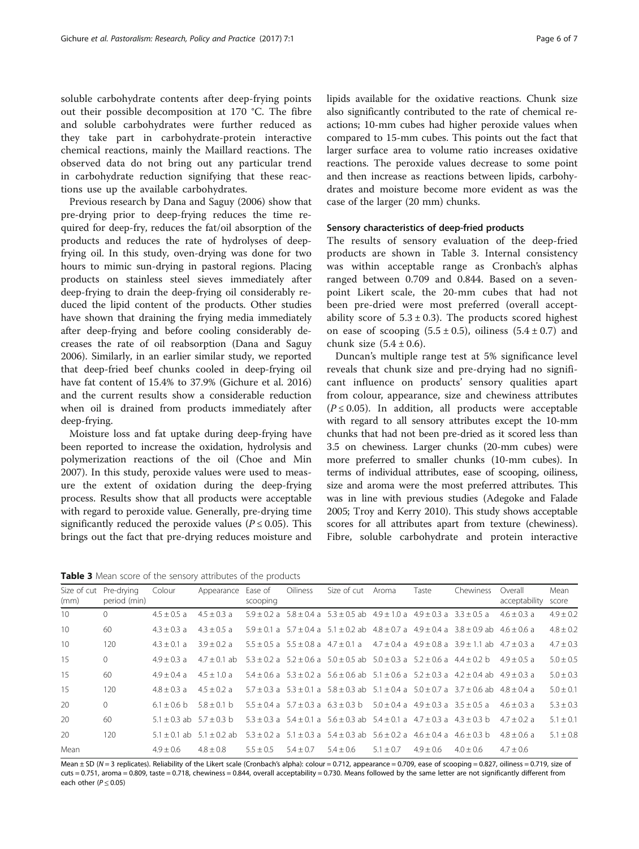soluble carbohydrate contents after deep-frying points out their possible decomposition at 170 °C. The fibre and soluble carbohydrates were further reduced as they take part in carbohydrate-protein interactive chemical reactions, mainly the Maillard reactions. The observed data do not bring out any particular trend in carbohydrate reduction signifying that these reactions use up the available carbohydrates.

Previous research by Dana and Saguy ([2006](#page-6-0)) show that pre-drying prior to deep-frying reduces the time required for deep-fry, reduces the fat/oil absorption of the products and reduces the rate of hydrolyses of deepfrying oil. In this study, oven-drying was done for two hours to mimic sun-drying in pastoral regions. Placing products on stainless steel sieves immediately after deep-frying to drain the deep-frying oil considerably reduced the lipid content of the products. Other studies have shown that draining the frying media immediately after deep-frying and before cooling considerably decreases the rate of oil reabsorption (Dana and Saguy [2006](#page-6-0)). Similarly, in an earlier similar study, we reported that deep-fried beef chunks cooled in deep-frying oil have fat content of 15.4% to 37.9% (Gichure et al. [2016](#page-6-0)) and the current results show a considerable reduction when oil is drained from products immediately after deep-frying.

Moisture loss and fat uptake during deep-frying have been reported to increase the oxidation, hydrolysis and polymerization reactions of the oil (Choe and Min [2007](#page-6-0)). In this study, peroxide values were used to measure the extent of oxidation during the deep-frying process. Results show that all products were acceptable with regard to peroxide value. Generally, pre-drying time significantly reduced the peroxide values ( $P \le 0.05$ ). This brings out the fact that pre-drying reduces moisture and lipids available for the oxidative reactions. Chunk size also significantly contributed to the rate of chemical reactions; 10-mm cubes had higher peroxide values when compared to 15-mm cubes. This points out the fact that larger surface area to volume ratio increases oxidative reactions. The peroxide values decrease to some point and then increase as reactions between lipids, carbohydrates and moisture become more evident as was the case of the larger (20 mm) chunks.

## Sensory characteristics of deep-fried products

The results of sensory evaluation of the deep-fried products are shown in Table 3. Internal consistency was within acceptable range as Cronbach's alphas ranged between 0.709 and 0.844. Based on a sevenpoint Likert scale, the 20-mm cubes that had not been pre-dried were most preferred (overall acceptability score of  $5.3 \pm 0.3$ ). The products scored highest on ease of scooping  $(5.5 \pm 0.5)$ , oiliness  $(5.4 \pm 0.7)$  and chunk size  $(5.4 \pm 0.6)$ .

Duncan's multiple range test at 5% significance level reveals that chunk size and pre-drying had no significant influence on products' sensory qualities apart from colour, appearance, size and chewiness attributes  $(P \le 0.05)$ . In addition, all products were acceptable with regard to all sensory attributes except the 10-mm chunks that had not been pre-dried as it scored less than 3.5 on chewiness. Larger chunks (20-mm cubes) were more preferred to smaller chunks (10-mm cubes). In terms of individual attributes, ease of scooping, oiliness, size and aroma were the most preferred attributes. This was in line with previous studies (Adegoke and Falade [2005;](#page-6-0) Troy and Kerry [2010\)](#page-6-0). This study shows acceptable scores for all attributes apart from texture (chewiness). Fibre, soluble carbohydrate and protein interactive

**Table 3** Mean score of the sensory attributes of the products

| (mm)            | Size of cut Pre-drying<br>period (min) | Colour                       | Appearance                    | Ease of<br>scooping | Oiliness    | Size of cut Aroma                                                                    |             | Taste       | Chewiness                                                                                                         | Overall<br>acceptability | Mean<br>score |
|-----------------|----------------------------------------|------------------------------|-------------------------------|---------------------|-------------|--------------------------------------------------------------------------------------|-------------|-------------|-------------------------------------------------------------------------------------------------------------------|--------------------------|---------------|
| 10 <sup>1</sup> | $\Omega$                               | $4.5 + 0.5$ a                | $4.5 + 0.3$ a                 |                     |             | $5.9 + 0.2$ a $5.8 + 0.4$ a $5.3 + 0.5$ ab $4.9 + 1.0$ a $4.9 + 0.3$ a $3.3 + 0.5$ a |             |             |                                                                                                                   | $4.6 + 0.3 a$            | $4.9 \pm 0.2$ |
| 10              | 60                                     | $4.3 + 0.3 a$                | $4.3 + 0.5$ a                 |                     |             |                                                                                      |             |             | $5.9 \pm 0.1$ a $5.7 \pm 0.4$ a $5.1 \pm 0.2$ ab $4.8 \pm 0.7$ a $4.9 \pm 0.4$ a $3.8 \pm 0.9$ ab $4.6 \pm 0.6$ a |                          | $4.8 \pm 0.2$ |
| 10 <sup>1</sup> | 120                                    | $4.3 + 0.1 a$                | $3.9 + 0.2 a$                 |                     |             |                                                                                      |             |             | $5.5 + 0.5$ a $5.5 + 0.8$ a $4.7 + 0.1$ a $4.7 + 0.4$ a $4.9 + 0.8$ a $3.9 + 1.1$ ab $4.7 + 0.3$ a                |                          | $4.7 + 0.3$   |
| 15              | $\mathbf{0}$                           | $4.9 + 0.3 a$                | $4.7 + 0.1$ ab                |                     |             | $5.3 + 0.2$ a $5.2 + 0.6$ a $5.0 + 0.5$ ab $5.0 + 0.3$ a $5.2 + 0.6$ a $4.4 + 0.2$ b |             |             |                                                                                                                   | $4.9 + 0.5$ a            | $5.0 + 0.5$   |
| 15              | 60                                     | $4.9 + 0.4 a$                | $4.5 + 1.0a$                  |                     |             |                                                                                      |             |             | $5.4 + 0.6$ a $5.3 + 0.2$ a $5.6 + 0.6$ ab $5.1 + 0.6$ a $5.2 + 0.3$ a $4.2 + 0.4$ ab $4.9 + 0.3$ a               |                          | $5.0 \pm 0.3$ |
| 15              | 120                                    | $4.8 + 0.3 a$                | $4.5 + 0.2 a$                 |                     |             |                                                                                      |             |             | $5.7 + 0.3$ a $5.3 + 0.1$ a $5.8 + 0.3$ ab $5.1 + 0.4$ a $5.0 + 0.7$ a $3.7 + 0.6$ ab $4.8 + 0.4$ a               |                          | $5.0 + 0.1$   |
| 20              | $\Omega$                               | $6.1 + 0.6$ b                | $5.8 + 0.1$ b                 |                     |             | $5.5 + 0.4$ a $5.7 + 0.3$ a $6.3 + 0.3$ b $5.0 + 0.4$ a $4.9 + 0.3$ a $3.5 + 0.5$ a  |             |             |                                                                                                                   | $4.6 + 0.3 a$            | $5.3 + 0.3$   |
| $20^{\circ}$    | 60                                     | $5.1 + 0.3$ ab $5.7 + 0.3$ b |                               |                     |             |                                                                                      |             |             | $5.3 + 0.3$ a $5.4 + 0.1$ a $5.6 + 0.3$ ab $5.4 + 0.1$ a $4.7 + 0.3$ a $4.3 + 0.3$ b                              | $4.7 + 0.2 a$            | $5.1 \pm 0.1$ |
| 20              | 120                                    |                              | $5.1 + 0.1$ ab $5.1 + 0.2$ ab |                     |             |                                                                                      |             |             | $5.3 + 0.2$ a $5.1 + 0.3$ a $5.4 + 0.3$ ab $5.6 + 0.2$ a $4.6 + 0.4$ a $4.6 + 0.3$ b                              | $4.8 + 0.6 a$            | $5.1 + 0.8$   |
| Mean            |                                        | $4.9 + 0.6$                  | $4.8 + 0.8$                   | $5.5 + 0.5$         | $5.4 + 0.7$ | $5.4 + 0.6$                                                                          | $5.1 + 0.7$ | $4.9 + 0.6$ | $4.0 + 0.6$                                                                                                       | $4.7 + 0.6$              |               |

Mean  $\pm$  SD (N = 3 replicates). Reliability of the Likert scale (Cronbach's alpha): colour = 0.712, appearance = 0.709, ease of scooping = 0.827, oiliness = 0.719, size of cuts = 0.751, aroma = 0.809, taste = 0.718, chewiness = 0.844, overall acceptability = 0.730. Means followed by the same letter are not significantly different from each other ( $P \le 0.05$ )